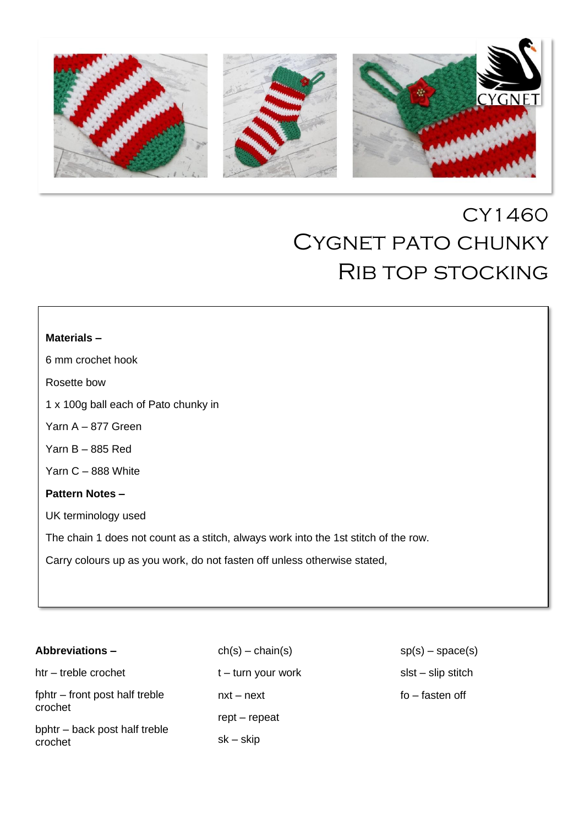

# CY1460 CYGNET PATO CHUNKY Rib top stocking

I

I

I

I

I

I

I

I

I

## **Materials –**

6 mm crochet hook

Rosette bow

1 x 100g ball each of Pato chunky in

Yarn A – 877 Green

Yarn B – 885 Red

Yarn C – 888 White

# **Pattern Notes –**

 $\Bigg\}$ 

UK terminology used

The chain 1 does not count as a stitch, always work into the 1st stitch of the row.

Carry colours up as you work, do not fasten off unless otherwise stated,

| Abbreviations –                           |
|-------------------------------------------|
| htr - treble crochet                      |
| fphtr – front post half treble<br>crochet |

bphtr – back post half treble crochet

 $ch(s) - chain(s)$ t – turn your work nxt – next rept – repeat sk – skip

 $sp(s)$  – space(s) slst – slip stitch fo – fasten off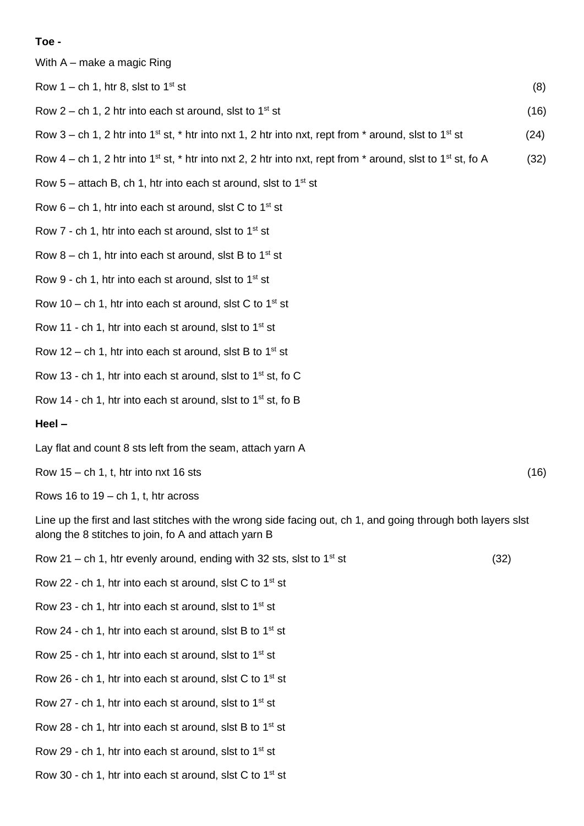#### **Toe -**

With A – make a magic Ring

Row 1 – ch 1, htr 8, slst to 1<sup>st</sup> st (8)

- Row  $2$  ch 1, 2 htr into each st around, slst to  $1<sup>st</sup>$  st (16)
- Row 3 ch 1, 2 htr into 1<sup>st</sup> st, \* htr into nxt 1, 2 htr into nxt, rept from \* around, slst to 1<sup>st</sup> st (24)
- Row  $4$  ch 1, 2 htr into 1<sup>st</sup> st, \* htr into nxt 2, 2 htr into nxt, rept from \* around, slst to 1<sup>st</sup> st, fo A (32)
- Row  $5$  attach B, ch 1, htr into each st around, slst to  $1<sup>st</sup>$  st
- Row  $6 ch 1$ , htr into each st around, slst C to  $1<sup>st</sup> st$
- Row  $7$  ch 1, htr into each st around, slst to  $1<sup>st</sup>$  st
- Row  $8 ch$  1, htr into each st around, slst B to 1<sup>st</sup> st
- Row 9 ch 1, htr into each st around, slst to  $1<sup>st</sup>$  st
- Row 10 ch 1, htr into each st around, slst C to  $1<sup>st</sup>$  st
- Row 11 ch 1, htr into each st around, slst to  $1<sup>st</sup>$  st
- Row 12 ch 1, htr into each st around, slst B to 1<sup>st</sup> st
- Row 13 ch 1, htr into each st around, slst to  $1<sup>st</sup>$  st, fo C
- Row 14 ch 1, htr into each st around, slst to  $1<sup>st</sup>$  st, fo B

#### **Heel –**

Lay flat and count 8 sts left from the seam, attach yarn A

Row  $15 - ch \cdot 1$ , t, htr into nxt  $16$  sts (16)

Rows 16 to  $19 - ch 1$ , t, htr across

Line up the first and last stitches with the wrong side facing out, ch 1, and going through both layers slst along the 8 stitches to join, fo A and attach yarn B

- Row 21 ch 1, htr evenly around, ending with 32 sts, slst to  $1<sup>st</sup>$  st (32)
- Row 22 ch 1, htr into each st around, slst C to  $1<sup>st</sup>$  st
- Row 23 ch 1, htr into each st around, slst to  $1<sup>st</sup>$  st
- Row 24 ch 1, htr into each st around, slst B to  $1<sup>st</sup>$  st
- Row 25 ch 1, htr into each st around, slst to  $1<sup>st</sup>$  st
- Row 26 ch 1, htr into each st around, slst C to  $1<sup>st</sup>$  st
- Row 27 ch 1, htr into each st around, slst to  $1<sup>st</sup>$  st
- Row 28 ch 1, htr into each st around, slst B to  $1<sup>st</sup>$  st
- Row 29 ch 1, htr into each st around, slst to  $1<sup>st</sup>$  st
- Row 30 ch 1, htr into each st around, slst C to  $1<sup>st</sup>$  st